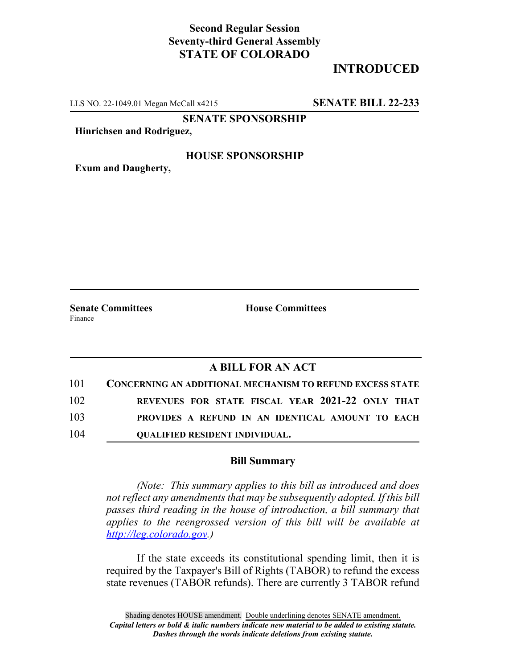## **Second Regular Session Seventy-third General Assembly STATE OF COLORADO**

# **INTRODUCED**

LLS NO. 22-1049.01 Megan McCall x4215 **SENATE BILL 22-233**

**SENATE SPONSORSHIP**

**Hinrichsen and Rodriguez,**

#### **HOUSE SPONSORSHIP**

**Exum and Daugherty,**

Finance

**Senate Committees House Committees** 

### **A BILL FOR AN ACT**

| 101 | <b>CONCERNING AN ADDITIONAL MECHANISM TO REFUND EXCESS STATE</b> |
|-----|------------------------------------------------------------------|
| 102 | REVENUES FOR STATE FISCAL YEAR 2021-22 ONLY THAT                 |
| 103 | PROVIDES A REFUND IN AN IDENTICAL AMOUNT TO EACH                 |
| 104 | <b>OUALIFIED RESIDENT INDIVIDUAL.</b>                            |

#### **Bill Summary**

*(Note: This summary applies to this bill as introduced and does not reflect any amendments that may be subsequently adopted. If this bill passes third reading in the house of introduction, a bill summary that applies to the reengrossed version of this bill will be available at http://leg.colorado.gov.)*

If the state exceeds its constitutional spending limit, then it is required by the Taxpayer's Bill of Rights (TABOR) to refund the excess state revenues (TABOR refunds). There are currently 3 TABOR refund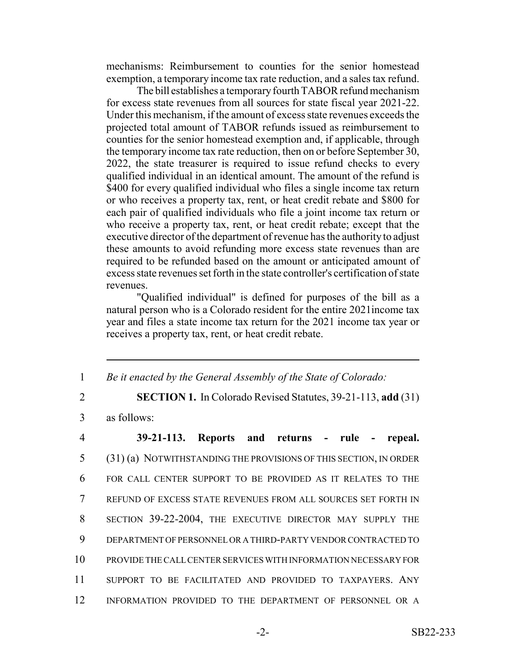mechanisms: Reimbursement to counties for the senior homestead exemption, a temporary income tax rate reduction, and a sales tax refund.

The bill establishes a temporary fourth TABOR refund mechanism for excess state revenues from all sources for state fiscal year 2021-22. Under this mechanism, if the amount of excess state revenues exceeds the projected total amount of TABOR refunds issued as reimbursement to counties for the senior homestead exemption and, if applicable, through the temporary income tax rate reduction, then on or before September 30, 2022, the state treasurer is required to issue refund checks to every qualified individual in an identical amount. The amount of the refund is \$400 for every qualified individual who files a single income tax return or who receives a property tax, rent, or heat credit rebate and \$800 for each pair of qualified individuals who file a joint income tax return or who receive a property tax, rent, or heat credit rebate; except that the executive director of the department of revenue has the authority to adjust these amounts to avoid refunding more excess state revenues than are required to be refunded based on the amount or anticipated amount of excess state revenues set forth in the state controller's certification of state revenues.

"Qualified individual" is defined for purposes of the bill as a natural person who is a Colorado resident for the entire 2021income tax year and files a state income tax return for the 2021 income tax year or receives a property tax, rent, or heat credit rebate.

1 *Be it enacted by the General Assembly of the State of Colorado:*

2 **SECTION 1.** In Colorado Revised Statutes, 39-21-113, **add** (31)

3 as follows:

 **39-21-113. Reports and returns - rule - repeal.** (31) (a) NOTWITHSTANDING THE PROVISIONS OF THIS SECTION, IN ORDER FOR CALL CENTER SUPPORT TO BE PROVIDED AS IT RELATES TO THE REFUND OF EXCESS STATE REVENUES FROM ALL SOURCES SET FORTH IN SECTION 39-22-2004, THE EXECUTIVE DIRECTOR MAY SUPPLY THE DEPARTMENT OF PERSONNEL OR A THIRD-PARTY VENDOR CONTRACTED TO PROVIDE THE CALL CENTER SERVICES WITH INFORMATION NECESSARY FOR SUPPORT TO BE FACILITATED AND PROVIDED TO TAXPAYERS. ANY INFORMATION PROVIDED TO THE DEPARTMENT OF PERSONNEL OR A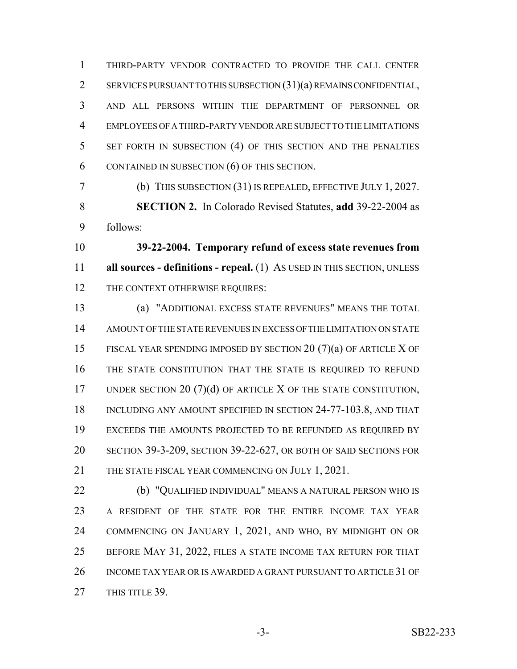THIRD-PARTY VENDOR CONTRACTED TO PROVIDE THE CALL CENTER SERVICES PURSUANT TO THIS SUBSECTION (31)(a) REMAINS CONFIDENTIAL, AND ALL PERSONS WITHIN THE DEPARTMENT OF PERSONNEL OR EMPLOYEES OF A THIRD-PARTY VENDOR ARE SUBJECT TO THE LIMITATIONS SET FORTH IN SUBSECTION (4) OF THIS SECTION AND THE PENALTIES CONTAINED IN SUBSECTION (6) OF THIS SECTION.

 (b) THIS SUBSECTION (31) IS REPEALED, EFFECTIVE JULY 1, 2027. **SECTION 2.** In Colorado Revised Statutes, **add** 39-22-2004 as follows:

 **39-22-2004. Temporary refund of excess state revenues from all sources - definitions - repeal.** (1) AS USED IN THIS SECTION, UNLESS 12 THE CONTEXT OTHERWISE REQUIRES:

 (a) "ADDITIONAL EXCESS STATE REVENUES" MEANS THE TOTAL AMOUNT OF THE STATE REVENUES IN EXCESS OF THE LIMITATION ON STATE FISCAL YEAR SPENDING IMPOSED BY SECTION 20 (7)(a) OF ARTICLE X OF THE STATE CONSTITUTION THAT THE STATE IS REQUIRED TO REFUND 17 UNDER SECTION 20 (7)(d) OF ARTICLE X OF THE STATE CONSTITUTION, 18 INCLUDING ANY AMOUNT SPECIFIED IN SECTION 24-77-103.8, AND THAT EXCEEDS THE AMOUNTS PROJECTED TO BE REFUNDED AS REQUIRED BY SECTION 39-3-209, SECTION 39-22-627, OR BOTH OF SAID SECTIONS FOR 21 THE STATE FISCAL YEAR COMMENCING ON JULY 1, 2021.

 (b) "QUALIFIED INDIVIDUAL" MEANS A NATURAL PERSON WHO IS A RESIDENT OF THE STATE FOR THE ENTIRE INCOME TAX YEAR COMMENCING ON JANUARY 1, 2021, AND WHO, BY MIDNIGHT ON OR BEFORE MAY 31, 2022, FILES A STATE INCOME TAX RETURN FOR THAT INCOME TAX YEAR OR IS AWARDED A GRANT PURSUANT TO ARTICLE 31 OF 27 THIS TITLE 39.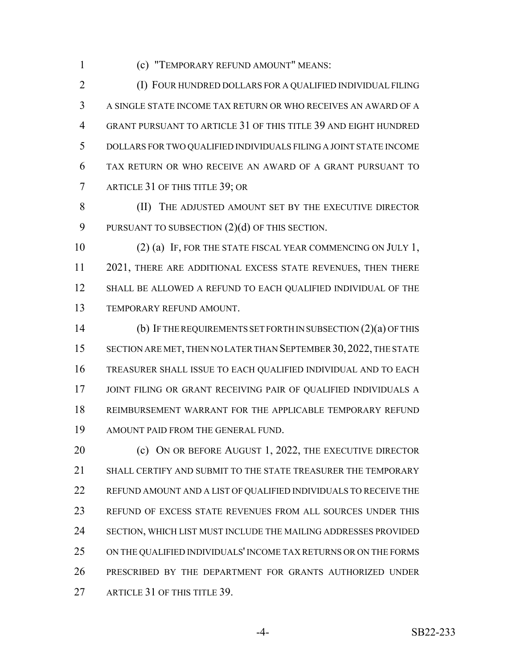(c) "TEMPORARY REFUND AMOUNT" MEANS:

 (I) FOUR HUNDRED DOLLARS FOR A QUALIFIED INDIVIDUAL FILING A SINGLE STATE INCOME TAX RETURN OR WHO RECEIVES AN AWARD OF A GRANT PURSUANT TO ARTICLE 31 OF THIS TITLE 39 AND EIGHT HUNDRED DOLLARS FOR TWO QUALIFIED INDIVIDUALS FILING A JOINT STATE INCOME TAX RETURN OR WHO RECEIVE AN AWARD OF A GRANT PURSUANT TO ARTICLE 31 OF THIS TITLE 39; OR

**(II)** THE ADJUSTED AMOUNT SET BY THE EXECUTIVE DIRECTOR 9 PURSUANT TO SUBSECTION  $(2)(d)$  OF THIS SECTION.

10 (2) (a) IF, FOR THE STATE FISCAL YEAR COMMENCING ON JULY 1, 11 2021, THERE ARE ADDITIONAL EXCESS STATE REVENUES, THEN THERE SHALL BE ALLOWED A REFUND TO EACH QUALIFIED INDIVIDUAL OF THE TEMPORARY REFUND AMOUNT.

 (b) IF THE REQUIREMENTS SET FORTH IN SUBSECTION (2)(a) OF THIS SECTION ARE MET, THEN NO LATER THAN SEPTEMBER 30, 2022, THE STATE TREASURER SHALL ISSUE TO EACH QUALIFIED INDIVIDUAL AND TO EACH JOINT FILING OR GRANT RECEIVING PAIR OF QUALIFIED INDIVIDUALS A REIMBURSEMENT WARRANT FOR THE APPLICABLE TEMPORARY REFUND AMOUNT PAID FROM THE GENERAL FUND.

20 (c) ON OR BEFORE AUGUST 1, 2022, THE EXECUTIVE DIRECTOR SHALL CERTIFY AND SUBMIT TO THE STATE TREASURER THE TEMPORARY REFUND AMOUNT AND A LIST OF QUALIFIED INDIVIDUALS TO RECEIVE THE REFUND OF EXCESS STATE REVENUES FROM ALL SOURCES UNDER THIS SECTION, WHICH LIST MUST INCLUDE THE MAILING ADDRESSES PROVIDED ON THE QUALIFIED INDIVIDUALS' INCOME TAX RETURNS OR ON THE FORMS PRESCRIBED BY THE DEPARTMENT FOR GRANTS AUTHORIZED UNDER 27 ARTICLE 31 OF THIS TITLE 39.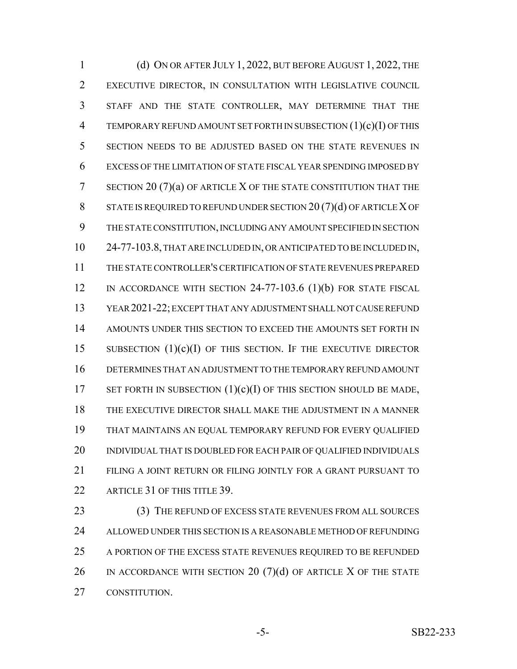(d) ON OR AFTER JULY 1, 2022, BUT BEFORE AUGUST 1, 2022, THE EXECUTIVE DIRECTOR, IN CONSULTATION WITH LEGISLATIVE COUNCIL STAFF AND THE STATE CONTROLLER, MAY DETERMINE THAT THE TEMPORARY REFUND AMOUNT SET FORTH IN SUBSECTION (1)(c)(I) OF THIS SECTION NEEDS TO BE ADJUSTED BASED ON THE STATE REVENUES IN EXCESS OF THE LIMITATION OF STATE FISCAL YEAR SPENDING IMPOSED BY SECTION 20 (7)(a) OF ARTICLE X OF THE STATE CONSTITUTION THAT THE STATE IS REQUIRED TO REFUND UNDER SECTION 20 (7)(d) OF ARTICLE X OF THE STATE CONSTITUTION, INCLUDING ANY AMOUNT SPECIFIED IN SECTION 24-77-103.8, THAT ARE INCLUDED IN, OR ANTICIPATED TO BE INCLUDED IN, THE STATE CONTROLLER'S CERTIFICATION OF STATE REVENUES PREPARED 12 IN ACCORDANCE WITH SECTION 24-77-103.6 (1)(b) FOR STATE FISCAL YEAR 2021-22; EXCEPT THAT ANY ADJUSTMENT SHALL NOT CAUSE REFUND AMOUNTS UNDER THIS SECTION TO EXCEED THE AMOUNTS SET FORTH IN 15 SUBSECTION  $(1)(c)(I)$  of this section. If the executive director DETERMINES THAT AN ADJUSTMENT TO THE TEMPORARY REFUND AMOUNT 17 SET FORTH IN SUBSECTION  $(1)(c)(I)$  OF THIS SECTION SHOULD BE MADE, THE EXECUTIVE DIRECTOR SHALL MAKE THE ADJUSTMENT IN A MANNER THAT MAINTAINS AN EQUAL TEMPORARY REFUND FOR EVERY QUALIFIED 20 INDIVIDUAL THAT IS DOUBLED FOR EACH PAIR OF QUALIFIED INDIVIDUALS FILING A JOINT RETURN OR FILING JOINTLY FOR A GRANT PURSUANT TO 22 ARTICLE 31 OF THIS TITLE 39.

 (3) THE REFUND OF EXCESS STATE REVENUES FROM ALL SOURCES ALLOWED UNDER THIS SECTION IS A REASONABLE METHOD OF REFUNDING A PORTION OF THE EXCESS STATE REVENUES REQUIRED TO BE REFUNDED 26 IN ACCORDANCE WITH SECTION 20  $(7)(d)$  of article X of the state CONSTITUTION.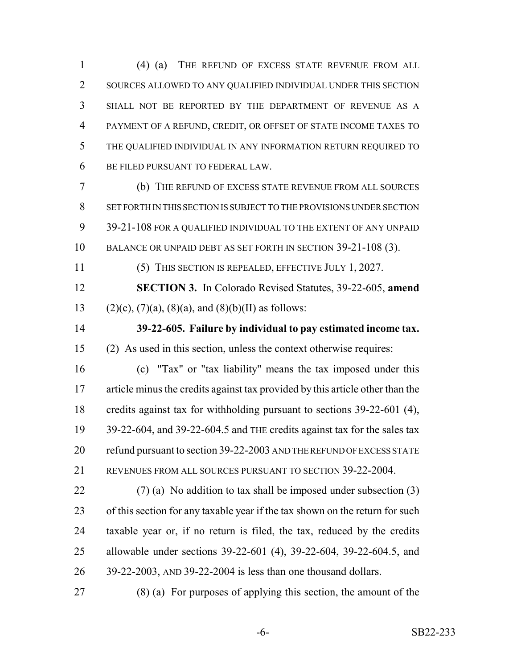(4) (a) THE REFUND OF EXCESS STATE REVENUE FROM ALL SOURCES ALLOWED TO ANY QUALIFIED INDIVIDUAL UNDER THIS SECTION SHALL NOT BE REPORTED BY THE DEPARTMENT OF REVENUE AS A PAYMENT OF A REFUND, CREDIT, OR OFFSET OF STATE INCOME TAXES TO THE QUALIFIED INDIVIDUAL IN ANY INFORMATION RETURN REQUIRED TO BE FILED PURSUANT TO FEDERAL LAW.

 (b) THE REFUND OF EXCESS STATE REVENUE FROM ALL SOURCES SET FORTH IN THIS SECTION IS SUBJECT TO THE PROVISIONS UNDER SECTION 39-21-108 FOR A QUALIFIED INDIVIDUAL TO THE EXTENT OF ANY UNPAID BALANCE OR UNPAID DEBT AS SET FORTH IN SECTION 39-21-108 (3).

(5) THIS SECTION IS REPEALED, EFFECTIVE JULY 1, 2027.

 **SECTION 3.** In Colorado Revised Statutes, 39-22-605, **amend** 13 (2)(c), (7)(a), (8)(a), and (8)(b)(II) as follows:

 **39-22-605. Failure by individual to pay estimated income tax.** (2) As used in this section, unless the context otherwise requires:

 (c) "Tax" or "tax liability" means the tax imposed under this article minus the credits against tax provided by this article other than the credits against tax for withholding pursuant to sections 39-22-601 (4), 39-22-604, and 39-22-604.5 and THE credits against tax for the sales tax refund pursuant to section 39-22-2003 AND THE REFUND OF EXCESS STATE REVENUES FROM ALL SOURCES PURSUANT TO SECTION 39-22-2004.

 $(7)$  (a) No addition to tax shall be imposed under subsection (3) of this section for any taxable year if the tax shown on the return for such taxable year or, if no return is filed, the tax, reduced by the credits 25 allowable under sections 39-22-601 (4), 39-22-604, 39-22-604.5, and 39-22-2003, AND 39-22-2004 is less than one thousand dollars.

(8) (a) For purposes of applying this section, the amount of the